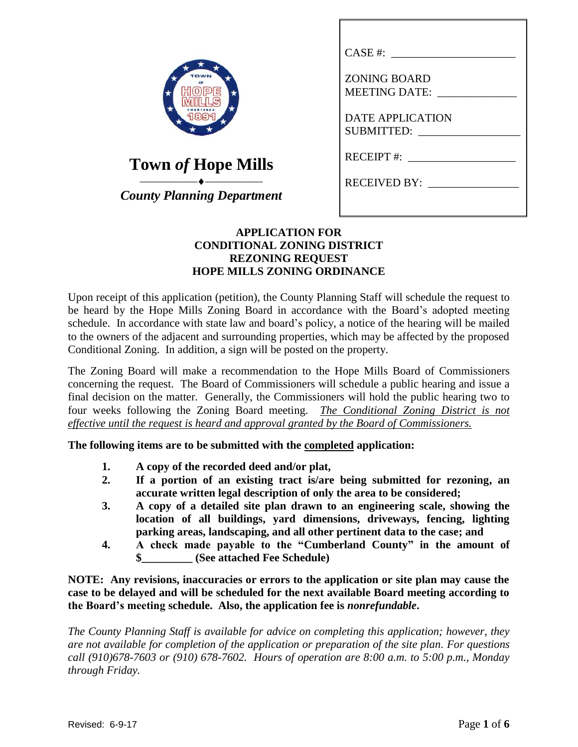| VN            |
|---------------|
| HOP<br>Ε<br>e |
|               |
|               |

| CASE #:              |
|----------------------|
| <b>ZONING BOARD</b>  |
| <b>MEETING DATE:</b> |
|                      |
| DATE APPLICATION     |
| <b>SUBMITTED:</b>    |
| $RECEIPT$ #:         |
| <b>RECEIVED BY:</b>  |
|                      |

# **Town** *of* **Hope Mills**

 $\overbrace{\hspace{2.5cm}}^{\bullet}$ *County Planning Department*

## **APPLICATION FOR CONDITIONAL ZONING DISTRICT REZONING REQUEST HOPE MILLS ZONING ORDINANCE**

Upon receipt of this application (petition), the County Planning Staff will schedule the request to be heard by the Hope Mills Zoning Board in accordance with the Board's adopted meeting schedule. In accordance with state law and board's policy, a notice of the hearing will be mailed to the owners of the adjacent and surrounding properties, which may be affected by the proposed Conditional Zoning. In addition, a sign will be posted on the property.

The Zoning Board will make a recommendation to the Hope Mills Board of Commissioners concerning the request. The Board of Commissioners will schedule a public hearing and issue a final decision on the matter. Generally, the Commissioners will hold the public hearing two to four weeks following the Zoning Board meeting. *The Conditional Zoning District is not effective until the request is heard and approval granted by the Board of Commissioners.*

**The following items are to be submitted with the completed application:**

- **1. A copy of the recorded deed and/or plat,**
- **2. If a portion of an existing tract is/are being submitted for rezoning, an accurate written legal description of only the area to be considered;**
- **3. A copy of a detailed site plan drawn to an engineering scale, showing the location of all buildings, yard dimensions, driveways, fencing, lighting parking areas, landscaping, and all other pertinent data to the case; and**
- **4. A check made payable to the "Cumberland County" in the amount of \$\_\_\_\_\_\_\_\_\_ (See attached Fee Schedule)**

**NOTE: Any revisions, inaccuracies or errors to the application or site plan may cause the case to be delayed and will be scheduled for the next available Board meeting according to the Board's meeting schedule. Also, the application fee is** *nonrefundable***.**

*The County Planning Staff is available for advice on completing this application; however, they are not available for completion of the application or preparation of the site plan. For questions call (910)678-7603 or (910) 678-7602. Hours of operation are 8:00 a.m. to 5:00 p.m., Monday through Friday.*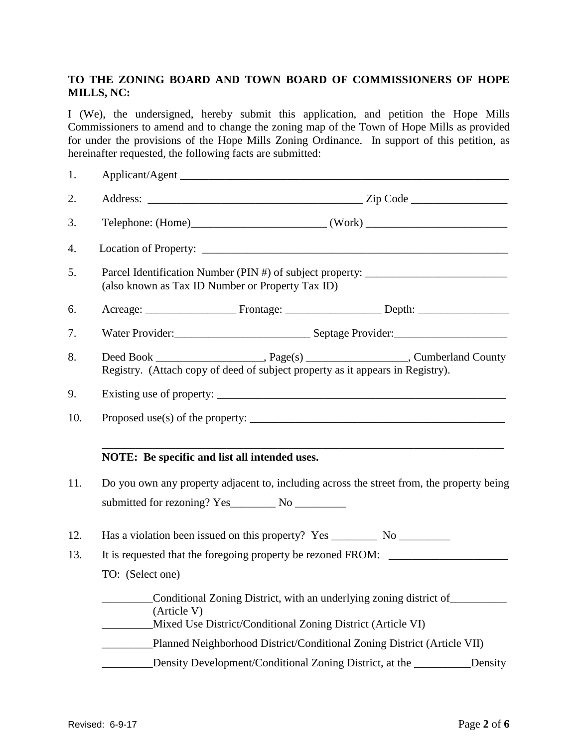## **TO THE ZONING BOARD AND TOWN BOARD OF COMMISSIONERS OF HOPE MILLS, NC:**

I (We), the undersigned, hereby submit this application, and petition the Hope Mills Commissioners to amend and to change the zoning map of the Town of Hope Mills as provided for under the provisions of the Hope Mills Zoning Ordinance. In support of this petition, as hereinafter requested, the following facts are submitted:

| 1.  | Applicant/Agent                                                                                                                                                          |  |  |  |  |  |  |
|-----|--------------------------------------------------------------------------------------------------------------------------------------------------------------------------|--|--|--|--|--|--|
| 2.  |                                                                                                                                                                          |  |  |  |  |  |  |
| 3.  | $Telephone: (Home)$ $(Work)$ $(Work)$                                                                                                                                    |  |  |  |  |  |  |
| 4.  |                                                                                                                                                                          |  |  |  |  |  |  |
| 5.  | Parcel Identification Number (PIN #) of subject property: ______________________<br>(also known as Tax ID Number or Property Tax ID)                                     |  |  |  |  |  |  |
| 6.  |                                                                                                                                                                          |  |  |  |  |  |  |
| 7.  |                                                                                                                                                                          |  |  |  |  |  |  |
| 8.  | Deed Book ________________________, Page(s) _______________________, Cumberland County<br>Registry. (Attach copy of deed of subject property as it appears in Registry). |  |  |  |  |  |  |
| 9.  |                                                                                                                                                                          |  |  |  |  |  |  |
| 10. | Proposed use(s) of the property: $\frac{1}{2}$ measurements are not all the property:                                                                                    |  |  |  |  |  |  |
|     | NOTE: Be specific and list all intended uses.                                                                                                                            |  |  |  |  |  |  |
| 11. | Do you own any property adjacent to, including across the street from, the property being                                                                                |  |  |  |  |  |  |
|     |                                                                                                                                                                          |  |  |  |  |  |  |
| 12. |                                                                                                                                                                          |  |  |  |  |  |  |
| 13. | It is requested that the foregoing property be rezoned FROM:                                                                                                             |  |  |  |  |  |  |
|     | TO: (Select one)                                                                                                                                                         |  |  |  |  |  |  |
|     | Conditional Zoning District, with an underlying zoning district of<br>(Article V)<br>Mixed Use District/Conditional Zoning District (Article VI)                         |  |  |  |  |  |  |
|     | Planned Neighborhood District/Conditional Zoning District (Article VII)                                                                                                  |  |  |  |  |  |  |
|     | Density Development/Conditional Zoning District, at the<br>_Density                                                                                                      |  |  |  |  |  |  |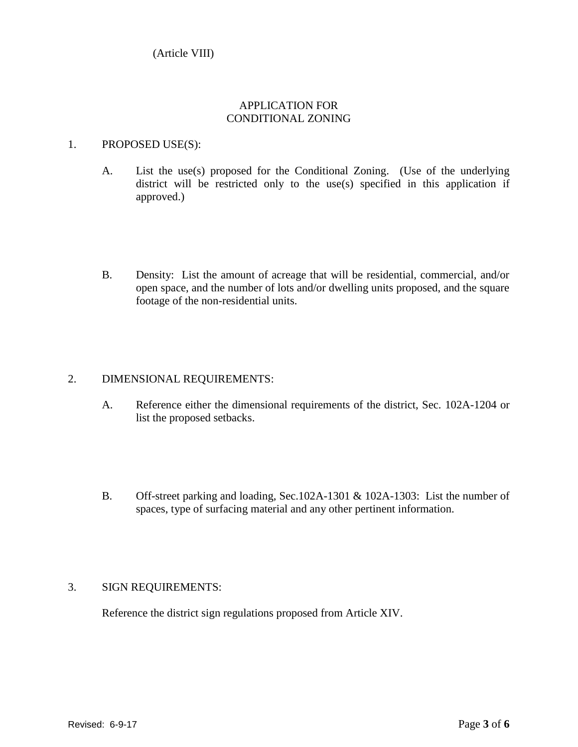(Article VIII)

## APPLICATION FOR CONDITIONAL ZONING

#### 1. PROPOSED USE(S):

- A. List the use(s) proposed for the Conditional Zoning. (Use of the underlying district will be restricted only to the use(s) specified in this application if approved.)
- B. Density: List the amount of acreage that will be residential, commercial, and/or open space, and the number of lots and/or dwelling units proposed, and the square footage of the non-residential units.

#### 2. DIMENSIONAL REQUIREMENTS:

- A. Reference either the dimensional requirements of the district, Sec. 102A-1204 or list the proposed setbacks.
- B. Off-street parking and loading, Sec.102A-1301 & 102A-1303: List the number of spaces, type of surfacing material and any other pertinent information.

#### 3. SIGN REQUIREMENTS:

Reference the district sign regulations proposed from Article XIV.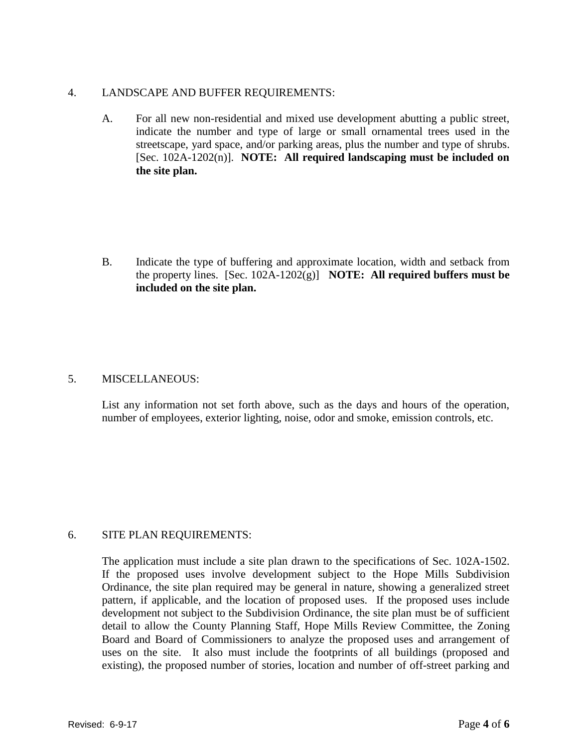#### 4. LANDSCAPE AND BUFFER REQUIREMENTS:

A. For all new non-residential and mixed use development abutting a public street, indicate the number and type of large or small ornamental trees used in the streetscape, yard space, and/or parking areas, plus the number and type of shrubs. [Sec. 102A-1202(n)]. **NOTE: All required landscaping must be included on the site plan.**

B. Indicate the type of buffering and approximate location, width and setback from the property lines. [Sec. 102A-1202(g)] **NOTE: All required buffers must be included on the site plan.**

#### 5. MISCELLANEOUS:

List any information not set forth above, such as the days and hours of the operation, number of employees, exterior lighting, noise, odor and smoke, emission controls, etc.

#### 6. SITE PLAN REQUIREMENTS:

The application must include a site plan drawn to the specifications of Sec. 102A-1502. If the proposed uses involve development subject to the Hope Mills Subdivision Ordinance, the site plan required may be general in nature, showing a generalized street pattern, if applicable, and the location of proposed uses. If the proposed uses include development not subject to the Subdivision Ordinance, the site plan must be of sufficient detail to allow the County Planning Staff, Hope Mills Review Committee, the Zoning Board and Board of Commissioners to analyze the proposed uses and arrangement of uses on the site. It also must include the footprints of all buildings (proposed and existing), the proposed number of stories, location and number of off-street parking and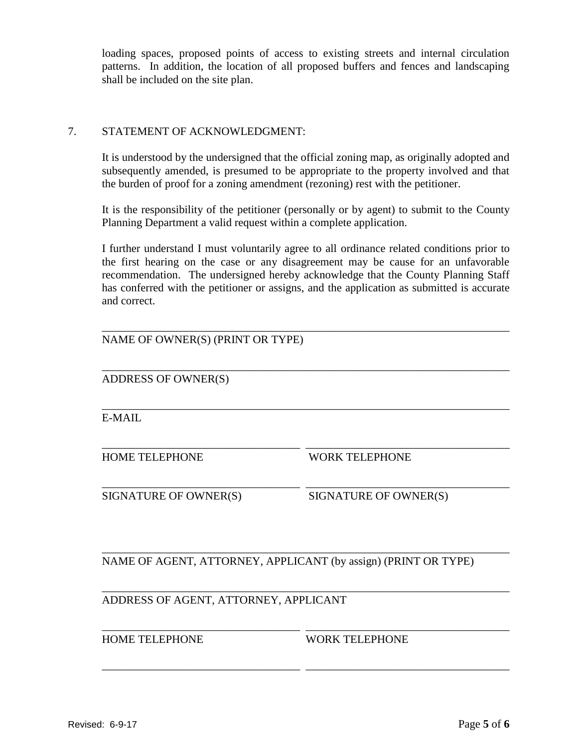loading spaces, proposed points of access to existing streets and internal circulation patterns. In addition, the location of all proposed buffers and fences and landscaping shall be included on the site plan.

## 7. STATEMENT OF ACKNOWLEDGMENT:

It is understood by the undersigned that the official zoning map, as originally adopted and subsequently amended, is presumed to be appropriate to the property involved and that the burden of proof for a zoning amendment (rezoning) rest with the petitioner.

It is the responsibility of the petitioner (personally or by agent) to submit to the County Planning Department a valid request within a complete application.

I further understand I must voluntarily agree to all ordinance related conditions prior to the first hearing on the case or any disagreement may be cause for an unfavorable recommendation. The undersigned hereby acknowledge that the County Planning Staff has conferred with the petitioner or assigns, and the application as submitted is accurate and correct.

\_\_\_\_\_\_\_\_\_\_\_\_\_\_\_\_\_\_\_\_\_\_\_\_\_\_\_\_\_\_\_\_\_\_\_\_\_\_\_\_\_\_\_\_\_\_\_\_\_\_\_\_\_\_\_\_\_\_\_\_\_\_\_\_\_\_\_\_\_\_\_\_

\_\_\_\_\_\_\_\_\_\_\_\_\_\_\_\_\_\_\_\_\_\_\_\_\_\_\_\_\_\_\_\_\_\_\_\_\_\_\_\_\_\_\_\_\_\_\_\_\_\_\_\_\_\_\_\_\_\_\_\_\_\_\_\_\_\_\_\_\_\_\_\_

\_\_\_\_\_\_\_\_\_\_\_\_\_\_\_\_\_\_\_\_\_\_\_\_\_\_\_\_\_\_\_\_\_\_\_\_\_\_\_\_\_\_\_\_\_\_\_\_\_\_\_\_\_\_\_\_\_\_\_\_\_\_\_\_\_\_\_\_\_\_\_\_

\_\_\_\_\_\_\_\_\_\_\_\_\_\_\_\_\_\_\_\_\_\_\_\_\_\_\_\_\_\_\_\_\_\_\_ \_\_\_\_\_\_\_\_\_\_\_\_\_\_\_\_\_\_\_\_\_\_\_\_\_\_\_\_\_\_\_\_\_\_\_\_

\_\_\_\_\_\_\_\_\_\_\_\_\_\_\_\_\_\_\_\_\_\_\_\_\_\_\_\_\_\_\_\_\_\_\_ \_\_\_\_\_\_\_\_\_\_\_\_\_\_\_\_\_\_\_\_\_\_\_\_\_\_\_\_\_\_\_\_\_\_\_\_

\_\_\_\_\_\_\_\_\_\_\_\_\_\_\_\_\_\_\_\_\_\_\_\_\_\_\_\_\_\_\_\_\_\_\_\_\_\_\_\_\_\_\_\_\_\_\_\_\_\_\_\_\_\_\_\_\_\_\_\_\_\_\_\_\_\_\_\_\_\_\_\_

\_\_\_\_\_\_\_\_\_\_\_\_\_\_\_\_\_\_\_\_\_\_\_\_\_\_\_\_\_\_\_\_\_\_\_\_\_\_\_\_\_\_\_\_\_\_\_\_\_\_\_\_\_\_\_\_\_\_\_\_\_\_\_\_\_\_\_\_\_\_\_\_

\_\_\_\_\_\_\_\_\_\_\_\_\_\_\_\_\_\_\_\_\_\_\_\_\_\_\_\_\_\_\_\_\_\_\_ \_\_\_\_\_\_\_\_\_\_\_\_\_\_\_\_\_\_\_\_\_\_\_\_\_\_\_\_\_\_\_\_\_\_\_\_

\_\_\_\_\_\_\_\_\_\_\_\_\_\_\_\_\_\_\_\_\_\_\_\_\_\_\_\_\_\_\_\_\_\_\_ \_\_\_\_\_\_\_\_\_\_\_\_\_\_\_\_\_\_\_\_\_\_\_\_\_\_\_\_\_\_\_\_\_\_\_\_

ADDRESS OF OWNER(S)

E-MAIL

HOME TELEPHONE WORK TELEPHONE

SIGNATURE OF OWNER(S) SIGNATURE OF OWNER(S)

NAME OF AGENT, ATTORNEY, APPLICANT (by assign) (PRINT OR TYPE)

ADDRESS OF AGENT, ATTORNEY, APPLICANT

HOME TELEPHONE WORK TELEPHONE